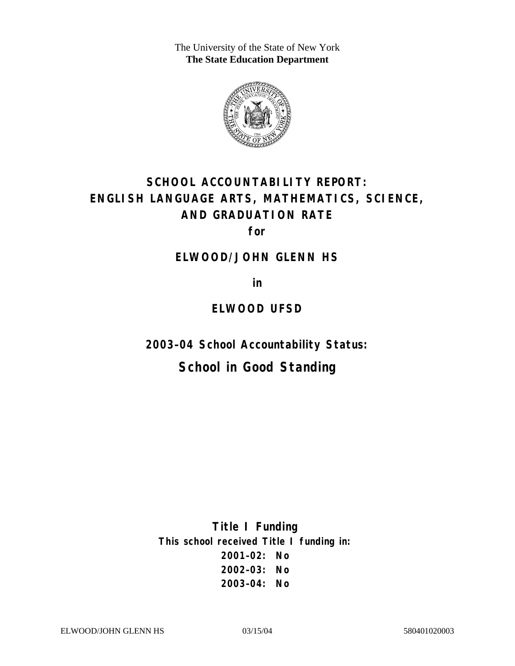The University of the State of New York **The State Education Department** 



# **SCHOOL ACCOUNTABILITY REPORT: ENGLISH LANGUAGE ARTS, MATHEMATICS, SCIENCE, AND GRADUATION RATE**

**for** 

### **ELWOOD/JOHN GLENN HS**

**in** 

### **ELWOOD UFSD**

**2003–04 School Accountability Status:** 

# **School in Good Standing**

**Title I Funding This school received Title I funding in: 2001–02: No 2002–03: No 2003–04: No**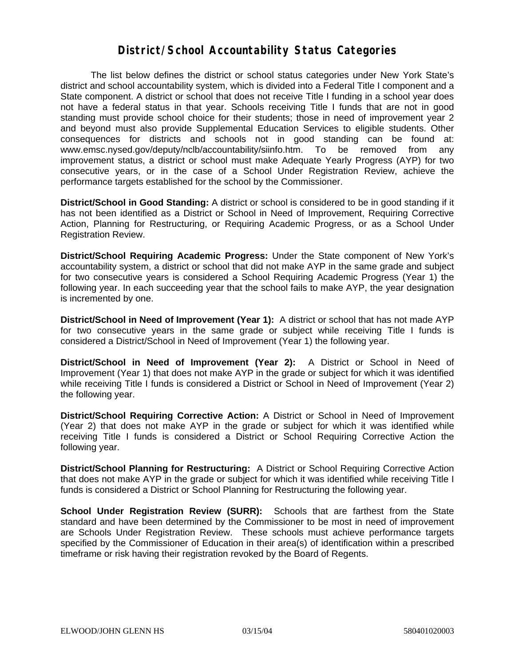### **District/School Accountability Status Categories**

The list below defines the district or school status categories under New York State's district and school accountability system, which is divided into a Federal Title I component and a State component. A district or school that does not receive Title I funding in a school year does not have a federal status in that year. Schools receiving Title I funds that are not in good standing must provide school choice for their students; those in need of improvement year 2 and beyond must also provide Supplemental Education Services to eligible students. Other consequences for districts and schools not in good standing can be found at: www.emsc.nysed.gov/deputy/nclb/accountability/siinfo.htm. To be removed from any improvement status, a district or school must make Adequate Yearly Progress (AYP) for two consecutive years, or in the case of a School Under Registration Review, achieve the performance targets established for the school by the Commissioner.

**District/School in Good Standing:** A district or school is considered to be in good standing if it has not been identified as a District or School in Need of Improvement, Requiring Corrective Action, Planning for Restructuring, or Requiring Academic Progress, or as a School Under Registration Review.

**District/School Requiring Academic Progress:** Under the State component of New York's accountability system, a district or school that did not make AYP in the same grade and subject for two consecutive years is considered a School Requiring Academic Progress (Year 1) the following year. In each succeeding year that the school fails to make AYP, the year designation is incremented by one.

**District/School in Need of Improvement (Year 1):** A district or school that has not made AYP for two consecutive years in the same grade or subject while receiving Title I funds is considered a District/School in Need of Improvement (Year 1) the following year.

**District/School in Need of Improvement (Year 2):** A District or School in Need of Improvement (Year 1) that does not make AYP in the grade or subject for which it was identified while receiving Title I funds is considered a District or School in Need of Improvement (Year 2) the following year.

**District/School Requiring Corrective Action:** A District or School in Need of Improvement (Year 2) that does not make AYP in the grade or subject for which it was identified while receiving Title I funds is considered a District or School Requiring Corrective Action the following year.

**District/School Planning for Restructuring:** A District or School Requiring Corrective Action that does not make AYP in the grade or subject for which it was identified while receiving Title I funds is considered a District or School Planning for Restructuring the following year.

**School Under Registration Review (SURR):** Schools that are farthest from the State standard and have been determined by the Commissioner to be most in need of improvement are Schools Under Registration Review. These schools must achieve performance targets specified by the Commissioner of Education in their area(s) of identification within a prescribed timeframe or risk having their registration revoked by the Board of Regents.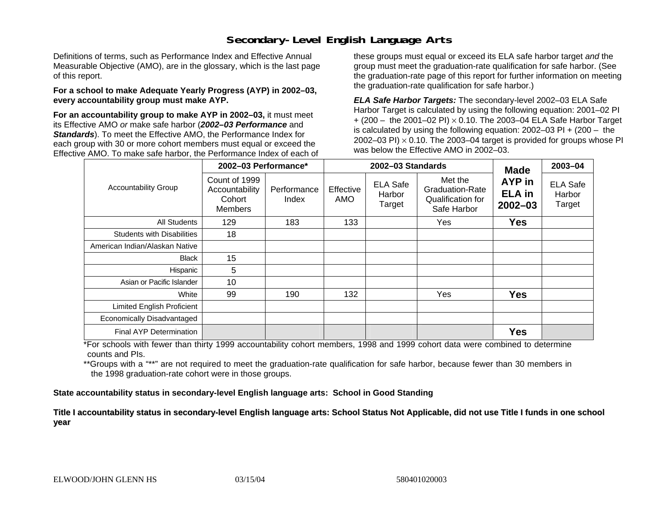# **Secondary-Level English Language Arts**

Definitions of terms, such as Performance Index and Effective Annual Measurable Objective (AMO), are in the glossary, which is the last page of this report.

#### **For a school to make Adequate Yearly Progress (AYP) in 2002–03, every accountability group must make AYP.**

**For an accountability group to make AYP in 2002–03,** it must meet its Effective AMO *or* make safe harbor (*2002–03 Performance* and *Standards*). To meet the Effective AMO, the Performance Index for each group with 30 or more cohort members must equal or exceed the Effective AMO. To make safe harbor, the Performance Index of each of these groups must equal or exceed its ELA safe harbor target *and* the group must meet the graduation-rate qualification for safe harbor. (See the graduation-rate page of this report for further information on meeting the graduation-rate qualification for safe harbor.)

*ELA Safe Harbor Targets:* The secondary-level 2002–03 ELA Safe Harbor Target is calculated by using the following equation: 2001–02 PI + (200 – the 2001–02 PI) <sup>×</sup> 0.10. The 2003–04 ELA Safe Harbor Target is calculated by using the following equation: 2002–03 PI + (200 – the 2002–03 PI)  $\times$  0.10. The 2003–04 target is provided for groups whose PI was below the Effective AMO in 2002–03.

| <b>Accountability Group</b>       | 2002-03 Performance*                                        |                      |                  | 2002-03 Standards                   | <b>Made</b>                                                    | 2003-04                                |                                     |
|-----------------------------------|-------------------------------------------------------------|----------------------|------------------|-------------------------------------|----------------------------------------------------------------|----------------------------------------|-------------------------------------|
|                                   | Count of 1999<br>Accountability<br>Cohort<br><b>Members</b> | Performance<br>Index | Effective<br>AMO | <b>ELA Safe</b><br>Harbor<br>Target | Met the<br>Graduation-Rate<br>Qualification for<br>Safe Harbor | AYP in<br><b>ELA</b> in<br>$2002 - 03$ | <b>ELA Safe</b><br>Harbor<br>Target |
| <b>All Students</b>               | 129                                                         | 183                  | 133              |                                     | Yes                                                            | <b>Yes</b>                             |                                     |
| <b>Students with Disabilities</b> | 18                                                          |                      |                  |                                     |                                                                |                                        |                                     |
| American Indian/Alaskan Native    |                                                             |                      |                  |                                     |                                                                |                                        |                                     |
| <b>Black</b>                      | 15                                                          |                      |                  |                                     |                                                                |                                        |                                     |
| Hispanic                          | 5                                                           |                      |                  |                                     |                                                                |                                        |                                     |
| Asian or Pacific Islander         | 10                                                          |                      |                  |                                     |                                                                |                                        |                                     |
| White                             | 99                                                          | 190                  | 132              |                                     | Yes                                                            | <b>Yes</b>                             |                                     |
| <b>Limited English Proficient</b> |                                                             |                      |                  |                                     |                                                                |                                        |                                     |
| Economically Disadvantaged        |                                                             |                      |                  |                                     |                                                                |                                        |                                     |
| <b>Final AYP Determination</b>    |                                                             |                      |                  |                                     |                                                                | <b>Yes</b>                             |                                     |

\*For schools with fewer than thirty 1999 accountability cohort members, 1998 and 1999 cohort data were combined to determine counts and PIs.

\*\*Groups with a "\*\*" are not required to meet the graduation-rate qualification for safe harbor, because fewer than 30 members in the 1998 graduation-rate cohort were in those groups.

**State accountability status in secondary-level English language arts: School in Good Standing** 

Title I accountability status in secondary-level English language arts: School Status Not Applicable, did not use Title I funds in one school **y ear**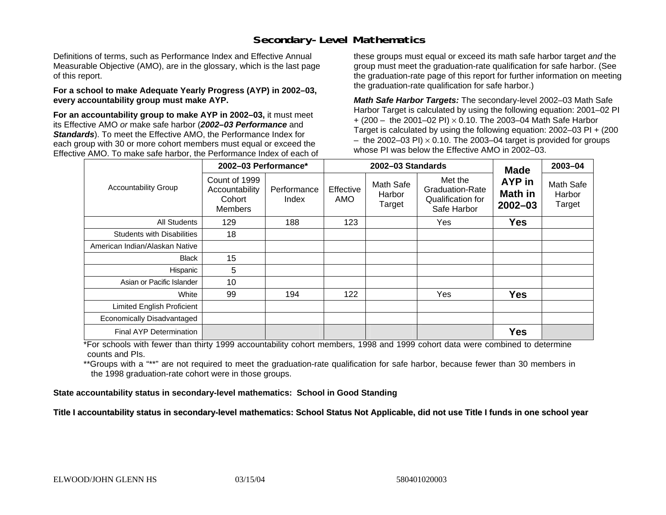## **Secondary-Level Mathematics**

Definitions of terms, such as Performance Index and Effective Annual Measurable Objective (AMO), are in the glossary, which is the last page of this report.

#### **For a school to make Adequate Yearly Progress (AYP) in 2002–03, every accountability group must make AYP.**

**For an accountability group to make AYP in 2002–03,** it must meet its Effective AMO *or* make safe harbor (*2002–03 Performance* and *Standards*). To meet the Effective AMO, the Performance Index for each group with 30 or more cohort members must equal or exceed the Effective AMO. To make safe harbor, the Performance Index of each of these groups must equal or exceed its math safe harbor target *and* the group must meet the graduation-rate qualification for safe harbor. (See the graduation-rate page of this report for further information on meeting the graduation-rate qualification for safe harbor.)

*Math Safe Harbor Targets:* The secondary-level 2002–03 Math Safe Harbor Target is calculated by using the following equation: 2001–02 PI + (200 – the 2001–02 PI) × 0.10. The 2003–04 Math Safe Harbor Target is calculated by using the following equation: 2002–03 PI + (200  $-$  the 2002–03 PI)  $\times$  0.10. The 2003–04 target is provided for groups whose PI was below the Effective AMO in 2002–03.

| <b>Accountability Group</b>       | 2002-03 Performance*                                        |                      |                  | 2002-03 Standards             | <b>Made</b>                                                    | 2003-04                          |                               |
|-----------------------------------|-------------------------------------------------------------|----------------------|------------------|-------------------------------|----------------------------------------------------------------|----------------------------------|-------------------------------|
|                                   | Count of 1999<br>Accountability<br>Cohort<br><b>Members</b> | Performance<br>Index | Effective<br>AMO | Math Safe<br>Harbor<br>Target | Met the<br>Graduation-Rate<br>Qualification for<br>Safe Harbor | AYP in<br>Math in<br>$2002 - 03$ | Math Safe<br>Harbor<br>Target |
| <b>All Students</b>               | 129                                                         | 188                  | 123              |                               | Yes                                                            | <b>Yes</b>                       |                               |
| <b>Students with Disabilities</b> | 18                                                          |                      |                  |                               |                                                                |                                  |                               |
| American Indian/Alaskan Native    |                                                             |                      |                  |                               |                                                                |                                  |                               |
| <b>Black</b>                      | 15                                                          |                      |                  |                               |                                                                |                                  |                               |
| Hispanic                          | 5                                                           |                      |                  |                               |                                                                |                                  |                               |
| Asian or Pacific Islander         | 10                                                          |                      |                  |                               |                                                                |                                  |                               |
| White                             | 99                                                          | 194                  | 122              |                               | Yes                                                            | <b>Yes</b>                       |                               |
| <b>Limited English Proficient</b> |                                                             |                      |                  |                               |                                                                |                                  |                               |
| Economically Disadvantaged        |                                                             |                      |                  |                               |                                                                |                                  |                               |
| <b>Final AYP Determination</b>    |                                                             |                      |                  |                               |                                                                | <b>Yes</b>                       |                               |

\*For schools with fewer than thirty 1999 accountability cohort members, 1998 and 1999 cohort data were combined to determine counts and PIs.

\*\*Groups with a "\*\*" are not required to meet the graduation-rate qualification for safe harbor, because fewer than 30 members in the 1998 graduation-rate cohort were in those groups.

**State accountability status in secondary-level mathematics: School in Good Standing** 

Title I accountability status in secondary-level mathematics: School Status Not Applicable, did not use Title I funds in one school year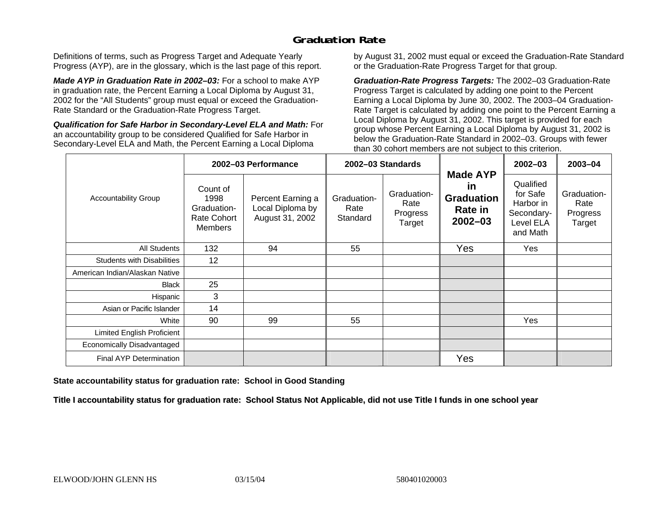# **Graduation Rate**

Definitions of terms, such as Progress Target and Adequate Yearly Progress (AYP), are in the glossary, which is the last page of this report.

*Made AYP in Graduation Rate in 2002–03:* For a school to make AYP in graduation rate, the Percent Earning a Local Diploma by August 31, 2002 for the "All Students" group must equal or exceed the Graduation-Rate Standard or the Graduation-Rate Progress Target.

*Qualification for Safe Harbor in Secondary-Level ELA and Math:* For an accountability group to be considered Qualified for Safe Harbor in Secondary-Level ELA and Math, the Percent Earning a Local Diploma

by August 31, 2002 must equal or exceed the Graduation-Rate Standard or the Graduation-Rate Progress Target for that group.

*Graduation-Rate Progress Targets:* The 2002–03 Graduation-Rate Progress Target is calculated by adding one point to the Percent Earning a Local Diploma by June 30, 2002. The 2003–04 Graduation-Rate Target is calculated by adding one point to the Percent Earning a Local Diploma by August 31, 2002. This target is provided for each group whose Percent Earning a Local Diploma by August 31, 2002 is below the Graduation-Rate Standard in 2002–03. Groups with fewer than 30 cohort members are not subject to this criterion.

|                                   | 2002-03 Performance                                                     |                                                          | 2002-03 Standards               |                                           |                                                                             | 2002-03                                                                   | 2003-04                                   |
|-----------------------------------|-------------------------------------------------------------------------|----------------------------------------------------------|---------------------------------|-------------------------------------------|-----------------------------------------------------------------------------|---------------------------------------------------------------------------|-------------------------------------------|
| <b>Accountability Group</b>       | Count of<br>1998<br>Graduation-<br><b>Rate Cohort</b><br><b>Members</b> | Percent Earning a<br>Local Diploma by<br>August 31, 2002 | Graduation-<br>Rate<br>Standard | Graduation-<br>Rate<br>Progress<br>Target | <b>Made AYP</b><br>in<br><b>Graduation</b><br><b>Rate in</b><br>$2002 - 03$ | Qualified<br>for Safe<br>Harbor in<br>Secondary-<br>Level ELA<br>and Math | Graduation-<br>Rate<br>Progress<br>Target |
| All Students                      | 132                                                                     | 94                                                       | 55                              |                                           | Yes                                                                         | Yes                                                                       |                                           |
| <b>Students with Disabilities</b> | 12 <sup>2</sup>                                                         |                                                          |                                 |                                           |                                                                             |                                                                           |                                           |
| American Indian/Alaskan Native    |                                                                         |                                                          |                                 |                                           |                                                                             |                                                                           |                                           |
| <b>Black</b>                      | 25                                                                      |                                                          |                                 |                                           |                                                                             |                                                                           |                                           |
| Hispanic                          | 3                                                                       |                                                          |                                 |                                           |                                                                             |                                                                           |                                           |
| Asian or Pacific Islander         | 14                                                                      |                                                          |                                 |                                           |                                                                             |                                                                           |                                           |
| White                             | 90                                                                      | 99                                                       | 55                              |                                           |                                                                             | Yes                                                                       |                                           |
| Limited English Proficient        |                                                                         |                                                          |                                 |                                           |                                                                             |                                                                           |                                           |
| Economically Disadvantaged        |                                                                         |                                                          |                                 |                                           |                                                                             |                                                                           |                                           |
| <b>Final AYP Determination</b>    |                                                                         |                                                          |                                 |                                           | Yes                                                                         |                                                                           |                                           |

**State accountability status for graduation rate: School in Good Standing** 

Title I accountability status for graduation rate: School Status Not Applicable, did not use Title I funds in one school year